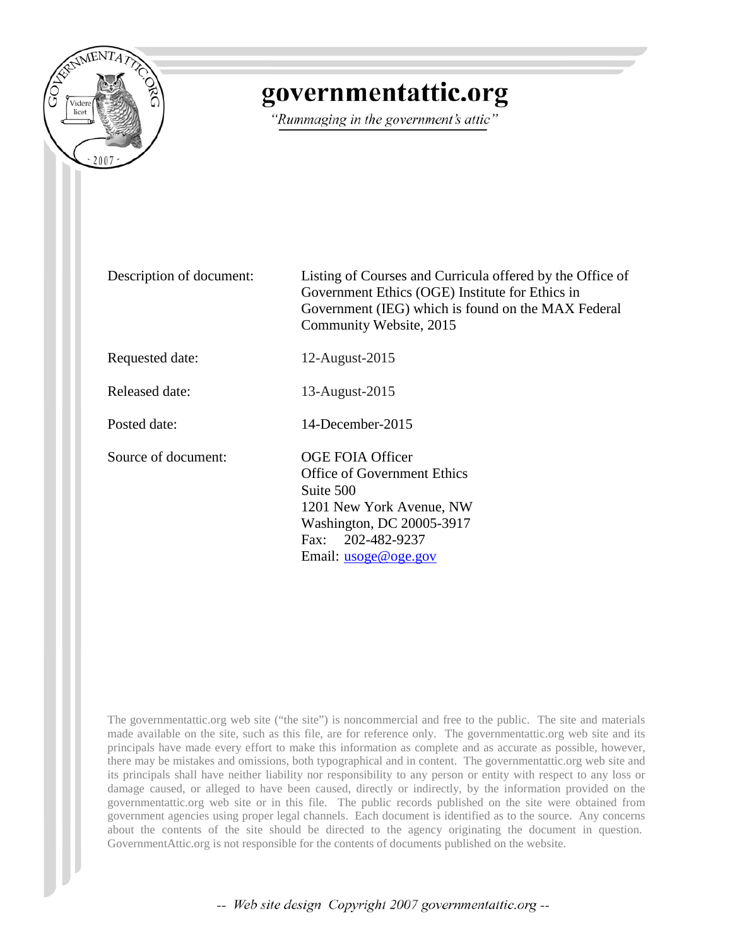

# governmentattic.org

"Rummaging in the government's attic"

Description of document: Listing of Courses and Curricula offered by the Office of Government Ethics (OGE) Institute for Ethics in Government (IEG) which is found on the MAX Federal Community Website, 2015 Requested date: 12-August-2015 Released date: 13-August-2015 Posted date: 14-December-2015 Source of document: OGE FOIA Officer Office of Government Ethics Suite 500 1201 New York Avenue, NW Washington, DC 20005-3917 Fax: 202-482-9237 Email: <u>[usoge@oge.gov](mailto:usoge@oge.gov?subject=Link%20to%20e-mail%20address)</u>

The governmentattic.org web site ("the site") is noncommercial and free to the public. The site and materials made available on the site, such as this file, are for reference only. The governmentattic.org web site and its principals have made every effort to make this information as complete and as accurate as possible, however, there may be mistakes and omissions, both typographical and in content. The governmentattic.org web site and its principals shall have neither liability nor responsibility to any person or entity with respect to any loss or damage caused, or alleged to have been caused, directly or indirectly, by the information provided on the governmentattic.org web site or in this file. The public records published on the site were obtained from government agencies using proper legal channels. Each document is identified as to the source. Any concerns about the contents of the site should be directed to the agency originating the document in question. GovernmentAttic.org is not responsible for the contents of documents published on the website.

-- Web site design Copyright 2007 governmentattic.org --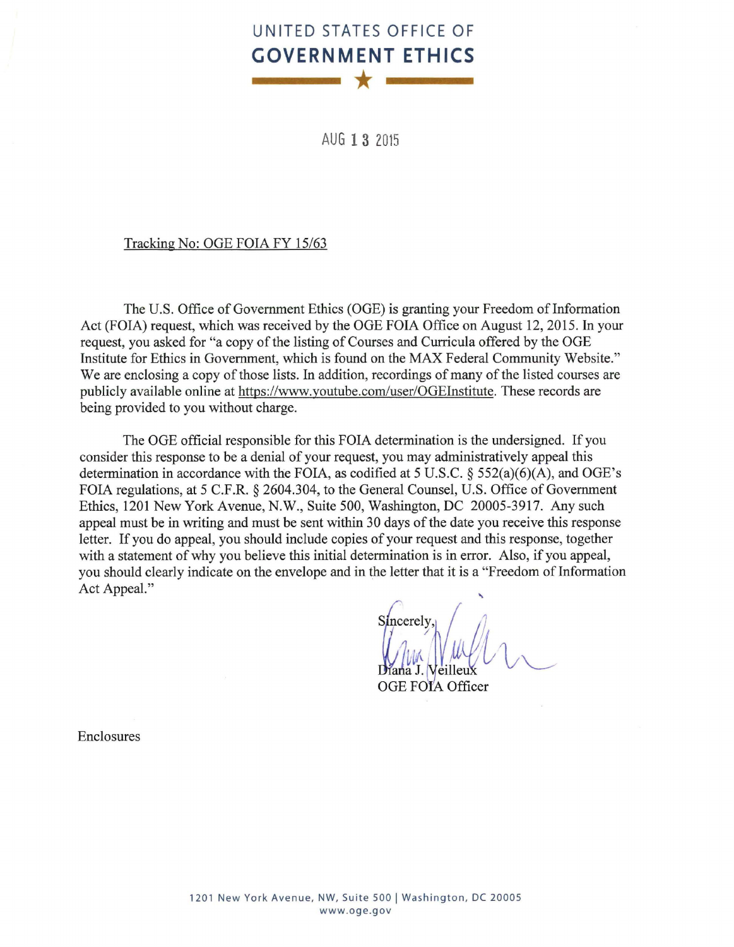# **UNITED STATES OFFICE OF GOVERNMENT ETHICS \***

AUG **13** <sup>2015</sup>

#### Tracking No: OGE FOIA FY 15/63

The U.S. Office of Government Ethics (OGE) is granting your Freedom of Information Act (FOIA) request, which was received by the OGE FOIA Office on August 12, 2015. In your request, you asked for "a copy of the listing of Courses and Curricula offered by the OGE Institute for Ethics in Government, which is found on the MAX Federal Community Website." We are enclosing a copy of those lists. In addition, recordings of many of the listed courses are publicly available online at https://www.youtube.com/user/OGEinstitute. These records are being provided to you without charge.

The OGE official responsible for this FOIA determination is the undersigned. If you consider this response to be a denial of your request, you may administratively appeal this determination in accordance with the FOIA, as codified at 5 U.S.C. § 552(a)(6)(A), and OGE's FOIA regulations, at 5 C.F.R. § 2604.304, to the General Counsel, U.S. Office of Government Ethics, 1201 New York Avenue, N.W., Suite 500, Washington, DC 20005-3917. Any such appeal must be in writing and must be sent within 30 days of the date you receive this response letter. If you do appeal, you should include copies of your request and this response, together with a statement of why you believe this initial determination is in error. Also, if you appeal, you should clearly indicate on the envelope and in the letter that it is a "Freedom of Information Act Appeal."

'

OGE FOIA Officer

Enclosures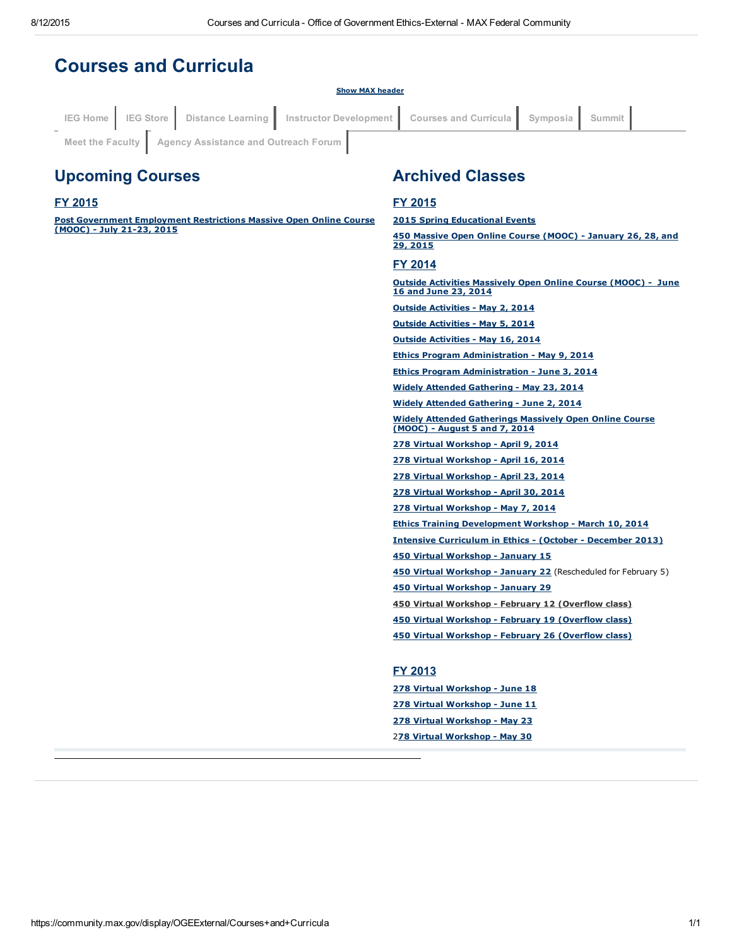#### Courses and Curricula Show MAX header Upcoming Courses FY 2015 Post [Government](https://community.max.gov/pages/viewpage.action?pageId=893485919) Employment Restrictions Massive Open Online Course (MOOC) - July 21-23, 2015 Archived Classes FY 2015 2015 Spring [Educational](https://community.max.gov/pages/viewpage.action?pageId=847315091) Events 450 Massive Open Online Course (MOOC) [January](https://community.max.gov/pages/viewpage.action?pageId=795312856) 26, 28, and 29, 2015 IEG [Home](https://max.omb.gov/community/display/OGEExternal/OGE+Institute+for+Ethics+in+Government) | IEG [Store](https://max.omb.gov/community/display/OGEExternal/IEG+Store) | Distance [Learning](https://max.omb.gov/community/display/OGEExternal/Distance+Learning) | Instructor [Development](https://max.omb.gov/community/display/OGEExternal/Instructor+Development) | Courses and [Curricula](https://max.omb.gov/community/display/OGEExternal/Courses+and+Curricula) | [Symposia](https://max.omb.gov/community/display/OGEExternal/Symposia) | [Summit](https://max.omb.gov/community/display/OGEExternal/OGE+National+Government+Ethics+Summit) Meet the [Faculty](https://max.omb.gov/community/display/OGEExternal/Meet+the+Faculty) | Agency [Assistance](https://max.omb.gov/community/pages/viewpage.action?pageId=657981841) and Outreach Forum

#### FY 2014

**Outside Activities [Massively](https://community.max.gov/display/OGEExternal/Outside+Activities+MOOC) Open Online Course (MOOC) - June** 16 and June 23, 2014

Outside [Activities](https://community.max.gov/display/OGEExternal/Outside+Activities+-+May+2) - May 2, 2014

**Outside [Activities](https://community.max.gov/display/OGEExternal/Outside+Activities+-+May+5) - May 5, 2014** 

Outside [Activities](https://community.max.gov/display/OGEExternal/Outside+Activities+-+May+16) - May 16, 2014

Ethics Program [Administration](https://community.max.gov/display/OGEExternal/Ethics+Program+Administration+--+An+Operational+Risk+Management+Approach+-+May+9) - May 9, 2014

**Ethics Program [Administration](https://community.max.gov/display/OGEExternal/Ethics+Program+Administration+--+An+Operational+Risk+Management+Approach+-+June+3) - June 3, 2014** 

Widely Attended [Gathering](https://community.max.gov/display/OGEExternal/Widely+Attended+Gatherings+Workshop+-+May+23) - May 23, 2014

Widely Attended [Gathering](https://community.max.gov/display/OGEExternal/Widely+Attended+Gatherings+Workshop+-+June+2) - June 2, 2014

Widely Attended [Gatherings](https://community.max.gov/display/OGEExternal/Widely+Attended+Gatherings+Massive+Open+Online+Course) Massively Open Online Course (MOOC) - August 5 and 7, 2014 278 Virtual [Workshop](https://community.max.gov/display/OGEExternal/278+Virtual+Workshop+-+April+9) - April 9, 2014

278 Virtual [Workshop](https://community.max.gov/display/OGEExternal/278+Virtual+Workshop+-+April+16) - April 16, 2014

278 Virtual [Workshop](https://community.max.gov/display/OGEExternal/278+Virtual+Workshop+-+April+23) - April 23, 2014

278 Virtual [Workshop](https://community.max.gov/display/OGEExternal/278+Virtual+Workshop+-+April+30) - April 30, 2014

278 Virtual [Workshop](https://community.max.gov/display/OGEExternal/278+Virtual+Workshop+-+May+7) - May 7, 2014

**Ethics Training [Development](https://community.max.gov/display/OGEExternal/Ethics+Training+Development+Workshop) Workshop - March 10, 2014** 

Intensive [Curriculum](https://community.max.gov/display/OGEExternal/Intensive+Curriculum+in+Ethics) in Ethics - (October - December 2013)

450 Virtual [Workshop](https://community.max.gov/display/OGEExternal/450+Virtual+Workshop+-+January+15) - January 15

450 Virtual [Workshop](https://community.max.gov/display/OGEExternal/450+Virtual+Workshop+-+February+5) - January 22 (Rescheduled for February 5)

450 Virtual [Workshop](https://community.max.gov/display/OGEExternal/450+Virtual+Workshop+-+January+29) - January 29

450 Virtual Workshop - February 12 (Overflow class)

450 Virtual [Workshop](https://max.omb.gov/community/display/OGEExternal/450+Virtual+Workshop+-+February+19) - February 19 (Overflow class)

450 Virtual [Workshop](https://max.omb.gov/community/display/OGEExternal/450+Virtual+Workshop+-+February+26) - February 26 (Overflow class)

#### FY 2013

278 Virtual [Workshop](https://community.max.gov/display/OGEExternal/278+Virtual+Workshop+-+June+18) - June 18 278 Virtual [Workshop](https://community.max.gov/display/OGEExternal/278+Virtual+Workshop+-+June+11) - June 11 278 Virtual [Workshop](https://community.max.gov/display/OGEExternal/278+Virtual+Workshop+-+May+23) - May 23 278 Virtual [Workshop](https://community.max.gov/display/OGEExternal/278+Virtual+Workshop+-+May+30) - May 30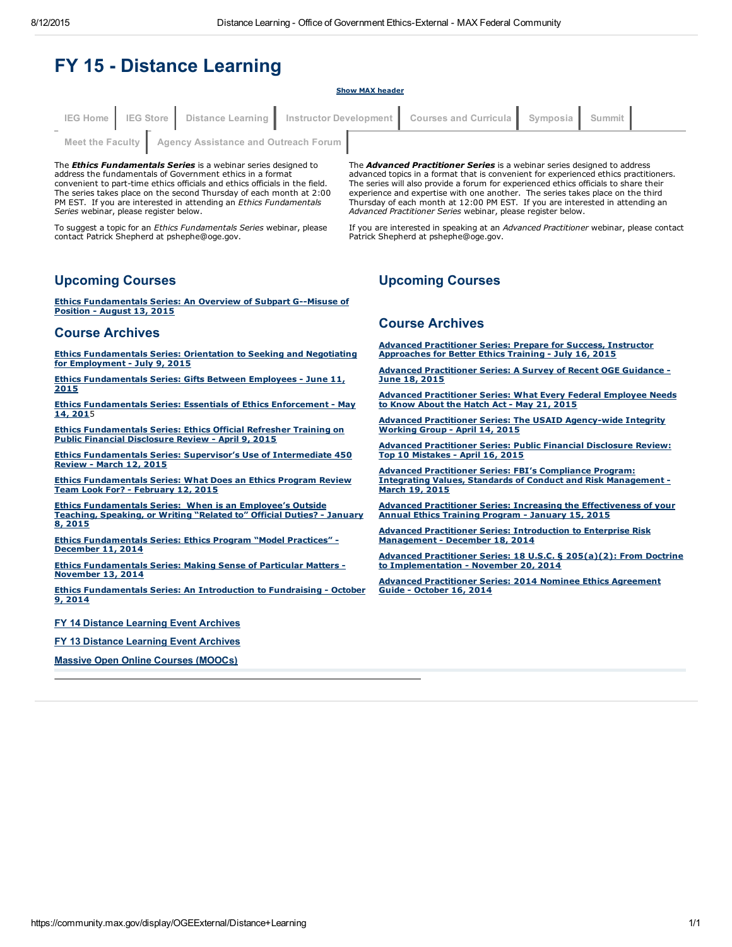# **FY 15 - Distance Learning**

#### Show MAX header

|                                                         |  |  |  |  | IEG Home IEG Store Distance Learning Instructor Development Courses and Curricula Symposia Summit |  |  |
|---------------------------------------------------------|--|--|--|--|---------------------------------------------------------------------------------------------------|--|--|
| Meet the Faculty   Agency Assistance and Outreach Forum |  |  |  |  |                                                                                                   |  |  |

The *Ethics Fundamentals Series* is a webinar series designed to address the fundamentals of Government ethics in a format convenient to part-time ethics officials and ethics officials in the field. The series takes place on the second Thursday of each month at 2:00 PM EST. If you are interested in attending an *Ethics Fundamentals Series* webinar, please register below.

To suggest a topic for an *Ethics Fundamentals Series* webinar, please contact Patrick Shepherd at pshephe@oge.gov.

The *Advanced Practitioner Series* is a webinar series designed to address advanced topics in a format that is convenient for experienced ethics practitioners. The series will also provide a forum for experienced ethics officials to share their experience and expertise with one another. The series takes place on the third Thursday of each month at 12:00 PM EST. If you are interested in attending an *Advanced Practitioner Series* webinar, please register below.

If you are interested in speaking at an *Advanced Practitioner* webinar, please contact Patrick Shepherd at pshephe@oge.gov.

#### Upcoming Courses

Ethics [Fundamentals](https://community.max.gov/display/OGEExternal/Ethics+Fundamentals+Series+--+An+Overview+of+Subpart+G--Misuse+of+Position) Series: An Overview of Subpart G--Misuse of Position - August 13, 2015

#### Course Archives

Ethics [Fundamentals](https://community.max.gov/display/OGEExternal/Ethics+Fundamentals+Series+--+Orientation+to+Seeking+and+Negotiating+for+Employment) Series: Orientation to Seeking and Negotiating for Employment - July 9, 2015

Ethics [Fundamentals](https://community.max.gov/display/OGEExternal/Ethics+Fundamentals+Series+--+Gifts+Between+Employees) Series: Gifts Between Employees - June 11, 2015

**Ethics [Fundamentals](https://community.max.gov/display/OGEExternal/Ethics+Fundamentals+Series%3A+Essentials+of+Ethics+Enforcement) Series: Essentials of Ethics Enforcement - May** 14, 2015

Ethics [Fundamentals](https://community.max.gov/display/OGEExternal/Ethics+Fundamentals+Series+--+Ethics+Official+Refresher+Training+on+Public+Financial+Disclosure+Review) Series: Ethics Official Refresher Training on Public Financial Disclosure Review - April 9, 2015

Ethics [Fundamentals](https://community.max.gov/pages/viewpage.action?pageId=821723323) Series: Supervisor's Use of Intermediate 450 Review - March 12, 2015

Ethics [Fundamentals](https://community.max.gov/pages/viewpage.action?pageId=807010798) Series: What Does an Ethics Program Review Team Look For? - February 12, 2015

Ethics [Fundamentals](https://community.max.gov/pages/viewpage.action?pageId=789807324) Series: When is an Employee's Outside Teaching, Speaking, or Writing "Related to" Official Duties? January 8, 2015

Ethics [Fundamentals](https://community.max.gov/pages/viewpage.action?pageId=774438952) Series: Ethics Program "Model Practices" December 11, 2014

Ethics [Fundamentals](https://community.max.gov/display/OGEExternal/Ethics+Fundamentals+Series+-+-+Making+Sense+of+Particular+Matters) Series: Making Sense of Particular Matters November 13, 2014

Ethics [Fundamentals](https://community.max.gov/display/OGEExternal/Ethics+Fundamentals+Series+--+An+Introduction+to+Fundraising) Series: An Introduction to Fundraising - October 9, 2014

FY 14 Distance [Learning](https://community.max.gov/display/OGEExternal/FY+14+-+Distance+Learning+Events) Event Archives

FY 13 Distance [Learning](https://community.max.gov/display/OGEExternal/FY+13+-+Distance+Learning) Event Archives

Massive Open Online Courses [\(MOOCs\)](https://community.max.gov/pages/viewpage.action?pageId=889062505)

#### Upcoming Courses

#### Course Archives

Advanced [Practitioner](https://community.max.gov/display/OGEExternal/Advanced+Practitioner+Series+--+Prepare+for+Success%2C+Instructor+Approaches+for+Better+Ethics+Training) Series: Prepare for Success, Instructor<br>Approaches for Better Ethics Training - July 16, 2015

Advanced [Practitioner](https://community.max.gov/display/OGEExternal/Advanced+Practitioner+Series+--+A+Survey+of+Recent+OGE+Guidance) Series: A Survey of Recent OGE Guidance -June 18, 2015

Advanced [Practitioner](https://community.max.gov/display/OGEExternal/Advanced+Practitioner+Series%3A+What+Every+Federal+Employee+Needs+to+Know+About+the+Hatch+Act) Series: What Every Federal Employee Needs to Know About the Hatch Act - May 21, 2015

Advanced Practitioner Series: The USAID Agency-wide Integrity Working Group - April 14, 2015

Advanced [Practitioner](https://community.max.gov/display/OGEExternal/Advanced+Practitioner+Series+--+Public+Financial+Disclosure+Review%3A+Top+10+Mistakes) Series: Public Financial Disclosure Review: Top 10 Mistakes - April 16, 2015

Advanced Practitioner Series: FBI's Compliance Program: Integrating Values, Standards of Conduct and Risk [Management](https://community.max.gov/pages/viewpage.action?pageId=824739024) March 19, 2015

Advanced Practitioner Series: Increasing the [Effectiveness](https://community.max.gov/display/OGEExternal/Advanced+Practitioner+Series+--+Increasing+the+Effectiveness+of+your+Annual+Ethics+Training+Program) of your Annual Ethics Training Program January 15, 2015

Advanced Practitioner Series: Introduction to Enterprise Risk [Management](https://community.max.gov/display/OGEExternal/Advanced+Practitioner+Series%3A+Introduction+to+Enterprise+Risk+Management) - December 18, 2014

Advanced Practitioner Series: 18 U.S.C. § 205(a)(2): From Doctrine to [Implementation](https://community.max.gov/pages/viewpage.action?pageId=764051556) - November 20, 2014

Advanced [Practitioner](https://community.max.gov/display/OGEExternal/Advanced+Practitioner+Series+-+-+2014+Nominee+Ethics+Agreement+Guide) Series: 2014 Nominee Ethics Agreement Guide - October 16, 2014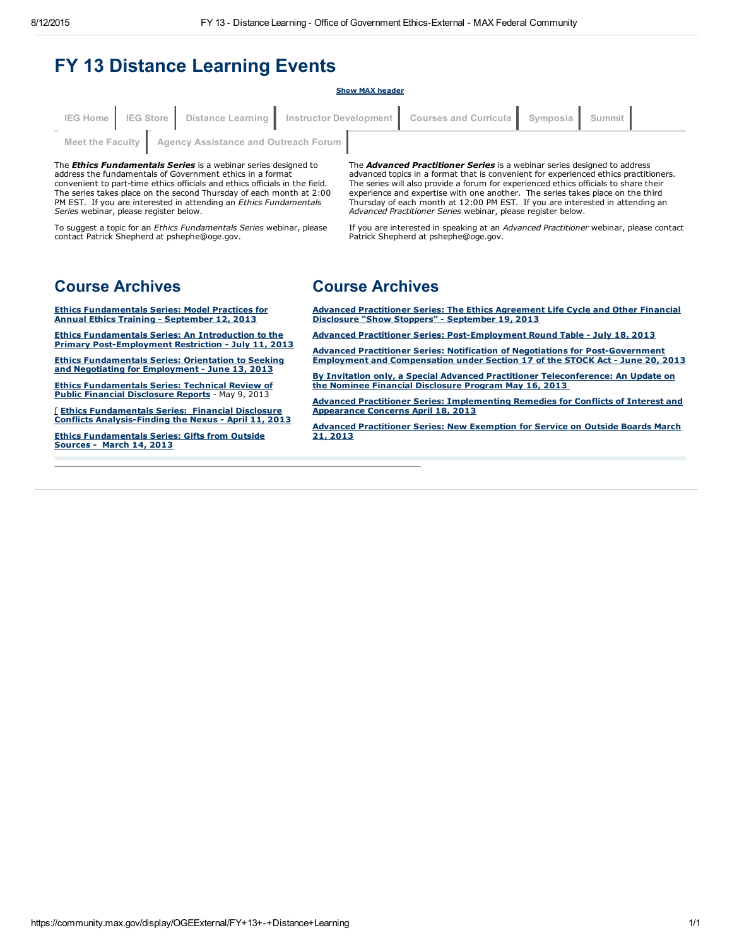# FY 13 Distance Learning Events

# The *Ethics Fundamentals Series* is a webinar series designed to IEG [Home](https://max.omb.gov/community/display/OGEExternal/OGE+Institute+for+Ethics+in+Government) IEG [Store](https://max.omb.gov/community/display/OGEExternal/IEG+Store) | Distance [Learning](https://max.omb.gov/community/display/OGEExternal/Distance+Learning) | Instructor [Development](https://max.omb.gov/community/display/OGEExternal/Instructor+Development) | Courses and [Curricula](https://max.omb.gov/community/display/OGEExternal/Courses+and+Curricula) | [Symposia](https://max.omb.gov/community/display/OGEExternal/Symposia) | [Summit](https://max.omb.gov/community/display/OGEExternal/OGE+National+Government+Ethics+Summit) Meet the [Faculty](https://max.omb.gov/community/display/OGEExternal/Meet+the+Faculty) | Agency [Assistance](https://max.omb.gov/community/pages/viewpage.action?pageId=657981841) and Outreach Forum

Show MAX header

address the fundamentals of Government ethics in a format convenient to part-time ethics officials and ethics officials in the field. The series takes place on the second Thursday of each month at 2:00 PM EST. If you are interested in attending an *Ethics Fundamentals Series* webinar, please register below.

To suggest a topic for an *Ethics Fundamentals Series* webinar, please contact Patrick Shepherd at pshephe@oge.gov.

The *Advanced Practitioner Series* is a webinar series designed to address advanced topics in a format that is convenient for experienced ethics practitioners. The series will also provide a forum for experienced ethics officials to share their experience and expertise with one another. The series takes place on the third Thursday of each month at 12:00 PM EST. If you are interested in attending an *Advanced Practitioner Series* webinar, please register below.

If you are interested in speaking at an *Advanced Practitioner* webinar, please contact Patrick Shepherd at pshephe@oge.gov.

# Course Archives

Ethics [Fundamentals](https://community.max.gov/display/OGEExternal/Ethics+Fundamentals+Series--+Model+Practices+for+Annual+Ethics+Training) Series: Model Practices for Annual Ethics Training - September 12, 2013

Ethics Fundamentals Series: An Introduction to the Primary Post-Employment Restriction - July 11, 2013

Ethics [Fundamentals](https://community.max.gov/display/OGEExternal/Ethics+Fundamentals+Series--+Orientation+to+Seeking+and+Negotiating+for+Employment) Series: Orientation to Seeking and Negotiating for Employment - June 13, 2013

Ethics [Fundamentals](https://community.max.gov/display/OGEExternal/Ethics+Fundamentals+Series--+Technical+Review+of+Public+Financial+Disclosure+Reports) Series: Technical Review of Public Financial Disclosure Reports - May 9, 2013

[ Ethics Fundamentals Series: Financial Disclosure Conflicts Analysis-Finding the Nexus - April 11, 2013

Ethics [Fundamentals](https://max.omb.gov/community/display/OGEExternal/Fundamentals+Series-+Gifts+from+Outside+Sources) Series: Gifts from Outside Sources - March 14, 2013

## Course Archives

Advanced [Practitioner](https://community.max.gov/pages/viewpage.action?pageId=688330357) Series: The Ethics Agreement Life Cycle and Other Financial Disclosure "Show Stoppers" - September 19, 2013

Advanced Practitioner Series: Post-Employment Round Table - July 18, 2013

**Advanced Practitioner Series: Notification of Negotiations for Post-Government** Employment and Compensation under Section 17 of the STOCK Act - June 20, 2013

By Invitation only, a Special Advanced Practitioner [Teleconference:](https://community.max.gov/display/OGEExternal/Special+Advanced+Practitioner+Teleconference--+An+Update+on+the+Nominee+Financial+Disclosure+Program) An Update on the Nominee Financial Disclosure Program May 16, 2013

Advanced Practitioner Series: [Implementing](https://community.max.gov/display/OGEExternal/Advanced+Practitioner+Webinar-+Implementing+Remedies+for+Conflicts+of+Interest+and+Appearance+Concerns) Remedies for Conflicts of Interest and Appearance Concerns April 18, 2013

Advanced [Practitioner](https://max.omb.gov/community/display/OGE/Advanced+Practitioner+Webinar-+New+Exemption+for+Service+on+Outside+Boards) Series: New Exemption for Service on Outside Boards March 21, 2013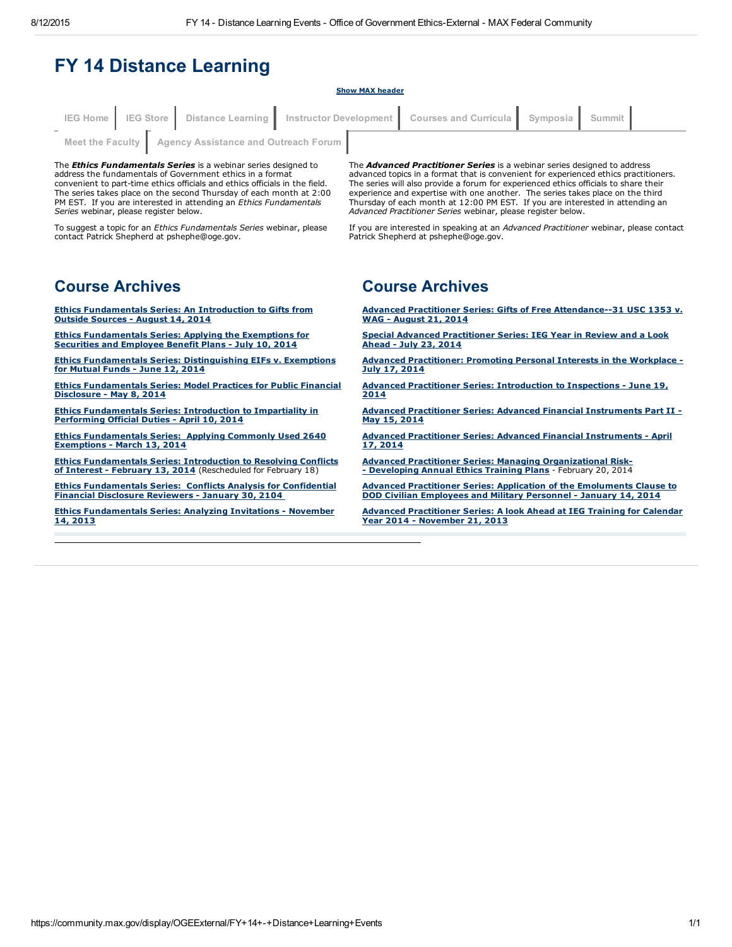# FY 14 Distance Learning

#### Show MAX header

|                                                         |  |  | IEG Home IEG Store Distance Learning Instructor Development Courses and Curricula Symposia Summit |  |  |  |
|---------------------------------------------------------|--|--|---------------------------------------------------------------------------------------------------|--|--|--|
| Meet the Faculty   Agency Assistance and Outreach Forum |  |  |                                                                                                   |  |  |  |

The *Ethics Fundamentals Series* is a webinar series designed to address the fundamentals of Government ethics in a format convenient to part-time ethics officials and ethics officials in the field. The series takes place on the second Thursday of each month at 2:00 PM EST. If you are interested in attending an *Ethics Fundamentals Series* webinar, please register below.

To suggest a topic for an *Ethics Fundamentals Series* webinar, please contact Patrick Shepherd at pshephe@oge.gov.

The *Advanced Practitioner Series* is a webinar series designed to address advanced topics in a format that is convenient for experienced ethics practitioners. The series will also provide a forum for experienced ethics officials to share their experience and expertise with one another. The series takes place on the third Thursday of each month at 12:00 PM EST. If you are interested in attending an *Advanced Practitioner Series* webinar, please register below.

If you are interested in speaking at an *Advanced Practitioner* webinar, please contact Patrick Shepherd at pshephe@oge.gov.

## Course Archives

Ethics [Fundamentals](https://community.max.gov/display/OGEExternal/Ethics+Fundamentals+Series--An+Introduction+to+Gifts+from+Outside+Sources) Series: An Introduction to Gifts from Outside Sources - August 14, 2014

Ethics [Fundamentals](https://community.max.gov/display/OGEExternal/Ethics+Fundamentals+Series+--+Applying+the+Exemptions+for+Securities+and+Employee+Benefit+Plan) Series: Applying the Exemptions for Securities and Employee Benefit Plans - July 10, 2014

Ethics Fundamentals Series: [Distinguishing](https://community.max.gov/display/OGEExternal/Ethics+Fundamentals+Series+--+Distinguishing+EIFs+v.+Exemptions+for+Mutual+Funds) EIFs v. Exemptions for Mutual Funds - June 12, 2014

Ethics [Fundamentals](https://community.max.gov/display/OGEExternal/Ethics+Fundamentals+Series+--+Model+Practices+for+Public+Financial+Disclosure) Series: Model Practices for Public Financial Disclosure - May 8, 2014

Ethics [Fundamentals](https://community.max.gov/display/OGEExternal/Ethics+Fundamentals+Series--+Introduction+to+Impartiality+in+Performing+Official+Duties) Series: Introduction to Impartiality in Performing Official Duties - April 10, 2014

Ethics [Fundamentals](https://community.max.gov/display/OGEExternal/Ethics+Fundamentals+Series--+Applying+Commonly+Used+2640+Exemptions) Series: Applying Commonly Used 2640 Exemptions - March 13, 2014

Ethics [Fundamentals](https://max.omb.gov/community/display/OGEExternal/Ethics+Fundamentals+Series--+Introduction+to+Resolving+Conflicts+of+Interest) Series: Introduction to Resolving Conflicts of Interest - February 13, 2014 (Rescheduled for February 18)

Ethics [Fundamentals](https://community.max.gov/display/OGEExternal/Ethics+Fundamentals+Series--+Conflicts+Analysis+for+Confidential+Financial+Disclosure+Reviewers) Series: Conflicts Analysis for Confidential Financial Disclosure Reviewers January 30, 2104

**Ethics [Fundamentals](https://community.max.gov/display/OGEExternal/Ethics+Fundamentals+Series--+Analyzing+Invitations) Series: Analyzing Invitations - November** 14, 2013

## Course Archives

Advanced Practitioner Series: Gifts of Free Attendance--31 USC 1353 v. WAG - August 21, 2014

Special Advanced [Practitioner](https://community.max.gov/display/OGEExternal/Special+Advanced+Practitioner+Series+--+IEG+Year+in+Review+and+a+Look+Ahead) Series: IEG Year in Review and a Look Ahead - July 23, 2014

Advanced [Practitioner:](https://community.max.gov/display/OGEExternal/Advanced+Practitioner+--+Promoting+Personal+Interests+in+the+Workplace) Promoting Personal Interests in the Workplace -July 17, 2014

Advanced Practitioner Series: [Introduction](https://community.max.gov/display/OGEExternal/Advanced+Practitioner+Series+--+Introduction+to+Inspections) to Inspections - June 19, 2014

Advanced Practitioner Series: Advanced Financial [Instruments](https://community.max.gov/display/OGEExternal/Advanced+Practitioner+Series+--+Advanced+Financial+Instruments+Part+II) Part II May 15, 2014

Advanced Practitioner Series: Advanced Financial [Instruments](https://community.max.gov/display/OGEExternal/Advanced+Practitioner+Series+--+Advanced+Financial+Instruments) - April 17, 2014

Advanced Practitioner Series: Managing [Organizational](https://max.omb.gov/community/display/OGEExternal/Advanced+Practitioner+Series--+Managing+Organizational+Risk--+Developing+Annual+Ethics+Training+Plans) Risk - Developing Annual Ethics Training Plans - February 20, 2014

Advanced Practitioner Series: Application of the [Emoluments](https://community.max.gov/display/OGEExternal/Advanced+Practitioner+Series--Application+of+the+Emoluments+Clause+to+DOD+Civilian+Employees+and+Military+Personnel) Clause to DOD Civilian Employees and Military Personnel - January 14, 2014

Advanced [Practitioner](https://community.max.gov/display/OGEExternal/Advanced+Practitioner+Series--A+Look+Ahead+at+IEG+Training+for+Calendar+Year+2014) Series: A look Ahead at IEG Training for Calendar Year 2014 - November 21, 2013